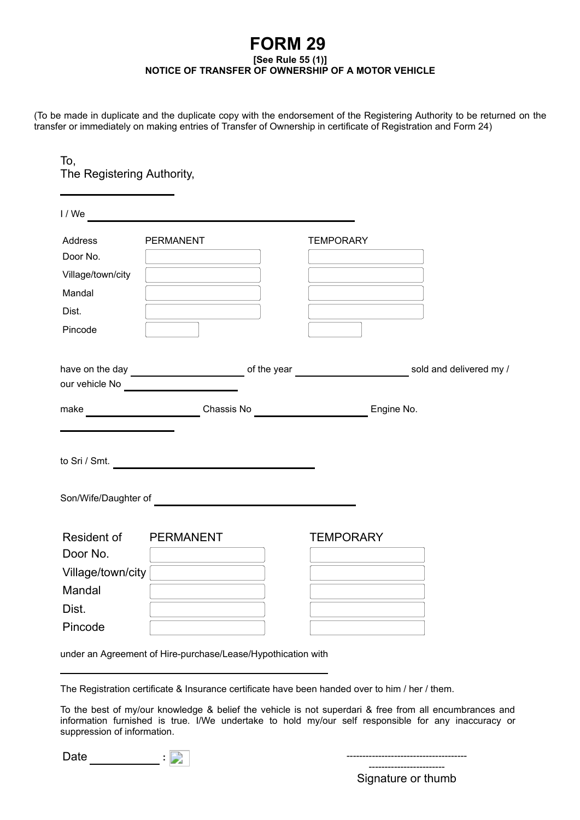# **FORM 29**

#### **[See Rule 55 (1)] NOTICE OF TRANSFER OF OWNERSHIP OF A MOTOR VEHICLE**

(To be made in duplicate and the duplicate copy with the endorsement of the Registering Authority to be returned on the transfer or immediately on making entries of Transfer of Ownership in certificate of Registration and Form 24)

### To, The Registering Authority,

| I/We                  |                                                              |                                                                                                                                                                                                                                                                         |  |
|-----------------------|--------------------------------------------------------------|-------------------------------------------------------------------------------------------------------------------------------------------------------------------------------------------------------------------------------------------------------------------------|--|
| Address               | <b>PERMANENT</b>                                             | <b>TEMPORARY</b>                                                                                                                                                                                                                                                        |  |
| Door No.              |                                                              |                                                                                                                                                                                                                                                                         |  |
| Village/town/city     |                                                              |                                                                                                                                                                                                                                                                         |  |
| Mandal                |                                                              |                                                                                                                                                                                                                                                                         |  |
| Dist.                 |                                                              |                                                                                                                                                                                                                                                                         |  |
| Pincode               |                                                              |                                                                                                                                                                                                                                                                         |  |
|                       |                                                              |                                                                                                                                                                                                                                                                         |  |
| our vehicle No        |                                                              |                                                                                                                                                                                                                                                                         |  |
|                       |                                                              | Chassis No<br><u>Chassis</u> No<br>Chassis No<br>Chassis No<br>Chassis No<br>Chassis No<br>Chassis No<br>Chassis No<br>Chassis No<br>Chassis No<br>Chassis No<br>Chassis No<br>Chassis No<br>Chassis No<br>Chassis No<br>Chassis No<br>Chassis No<br>Chassis No<br>Chas |  |
|                       |                                                              |                                                                                                                                                                                                                                                                         |  |
|                       | to Sri / Smt. $\qquad \qquad \qquad$                         |                                                                                                                                                                                                                                                                         |  |
|                       |                                                              |                                                                                                                                                                                                                                                                         |  |
| Resident of PERMANENT |                                                              | <b>TEMPORARY</b>                                                                                                                                                                                                                                                        |  |
| Door No.              |                                                              |                                                                                                                                                                                                                                                                         |  |
| Village/town/city     |                                                              | the control of the control of the                                                                                                                                                                                                                                       |  |
| Mandal                |                                                              |                                                                                                                                                                                                                                                                         |  |
| Dist.                 |                                                              |                                                                                                                                                                                                                                                                         |  |
| Pincode               |                                                              |                                                                                                                                                                                                                                                                         |  |
|                       | under an Agreement of Hire-purchase/Lease/Hypothication with |                                                                                                                                                                                                                                                                         |  |

The Registration certificate & Insurance certificate have been handed over to him / her / them.

To the best of my/our knowledge & belief the vehicle is not superdari & free from all encumbrances and information furnished is true. I/We undertake to hold my/our self responsible for any inaccuracy or suppression of information.

| $\overline{\phantom{a}}$ |  |  |
|--------------------------|--|--|
|--------------------------|--|--|

Signature or thumb

------------------------